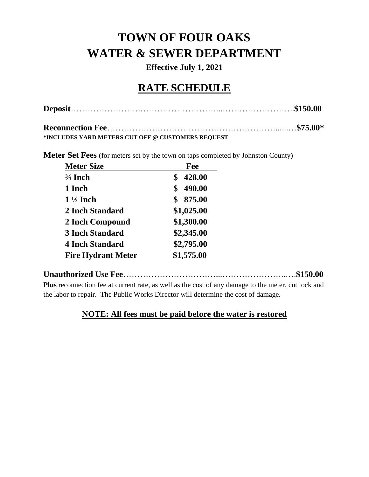# **TOWN OF FOUR OAKS WATER & SEWER DEPARTMENT**

**Effective July 1, 2021**

# **RATE SCHEDULE**

**\*INCLUDES YARD METERS CUT OFF @ CUSTOMERS REQUEST**

**Meter Set Fees** (for meters set by the town on taps completed by Johnston County)

| <b>Meter Size</b>         | Fee          |
|---------------------------|--------------|
| $\frac{3}{4}$ Inch        | 428.00<br>\$ |
| 1 Inch                    | 490.00<br>\$ |
| $1\frac{1}{2}$ Inch       | 875.00<br>\$ |
| 2 Inch Standard           | \$1,025.00   |
| 2 Inch Compound           | \$1,300.00   |
| <b>3 Inch Standard</b>    | \$2,345.00   |
| <b>4 Inch Standard</b>    | \$2,795.00   |
| <b>Fire Hydrant Meter</b> | \$1,575.00   |

### **Unauthorized Use Fee**……………………………...…………………..….**\$150.00 Plus** reconnection fee at current rate, as well as the cost of any damage to the meter, cut lock and

the labor to repair. The Public Works Director will determine the cost of damage.

### **NOTE: All fees must be paid before the water is restored**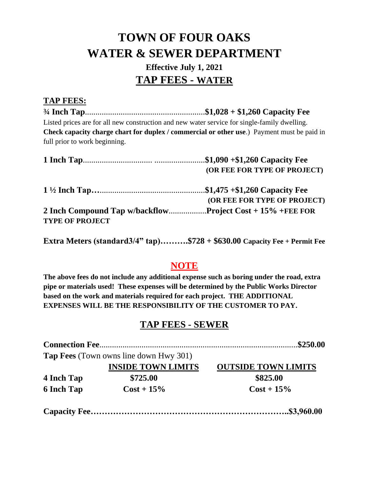# **TOWN OF FOUR OAKS WATER & SEWER DEPARTMENT**

## **Effective July 1, 2021 TAP FEES - WATER**

## **TAP FEES:**

**¾ Inch Tap**.........................................................**\$1,028 + \$1,260 Capacity Fee** Listed prices are for all new construction and new water service for single-family dwelling. **Check capacity charge chart for duplex / commercial or other use**.) Payment must be paid in full prior to work beginning.

|                        | <b>(OR FEE FOR TYPE OF PROJECT)</b> |
|------------------------|-------------------------------------|
|                        |                                     |
|                        | (OR FEE FOR TYPE OF PROJECT)        |
|                        |                                     |
| <b>TYPE OF PROJECT</b> |                                     |

**Extra Meters (standard3/4" tap)……….\$728 + \$630.00 Capacity Fee + Permit Fee**

## **NOTE**

**The above fees do not include any additional expense such as boring under the road, extra pipe or materials used! These expenses will be determined by the Public Works Director based on the work and materials required for each project. THE ADDITIONAL EXPENSES WILL BE THE RESPONSIBILITY OF THE CUSTOMER TO PAY.** 

## **TAP FEES - SEWER**

| <b>INSIDE TOWN LIMITS</b> | <b>OUTSIDE TOWN LIMITS</b>                    |
|---------------------------|-----------------------------------------------|
| \$725.00                  | \$825.00                                      |
| $Cost + 15\%$             | $Cost + 15\%$                                 |
|                           |                                               |
|                           | <b>Tap Fees</b> (Town owns line down Hwy 301) |

**Capacity Fee……………………………………………………………..\$3,960.00**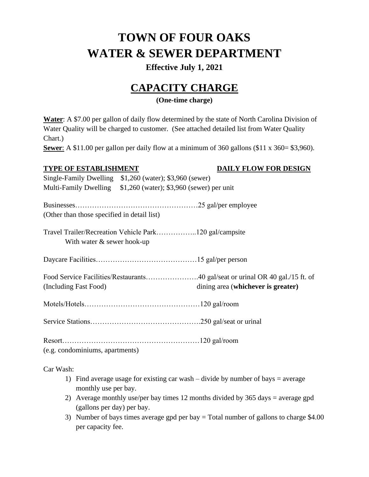# **TOWN OF FOUR OAKS WATER & SEWER DEPARTMENT**

### **Effective July 1, 2021**

# **CAPACITY CHARGE**

### **(One-time charge)**

**Water**: A \$7.00 per gallon of daily flow determined by the state of North Carolina Division of Water Quality will be charged to customer. (See attached detailed list from Water Quality Chart.)

**Sewer**: A \$11.00 per gallon per daily flow at a minimum of 360 gallons (\$11 x 360= \$3,960).

### **TYPE OF ESTABLISHMENT DAILY FLOW FOR DESIGN**

Single-Family Dwelling \$1,260 (water); \$3,960 (sewer) Multi-Family Dwelling \$1,260 (water); \$3,960 (sewer) per unit Businesses……………………………………………25 gal/per employee (Other than those specified in detail list) Travel Trailer/Recreation Vehicle Park……………..120 gal/campsite With water & sewer hook-up Daycare Facilities……………………………………15 gal/per person Food Service Facilities/Restaurants………………….40 gal/seat or urinal OR 40 gal./15 ft. of (Including Fast Food) dining area (**whichever is greater)** Motels/Hotels…………………………………………120 gal/room Service Stations……………………………………….250 gal/seat or urinal

Resort…………………………………………………120 gal/room

(e.g. condominiums, apartments)

Car Wash:

- 1) Find average usage for existing car wash divide by number of bays  $=$  average monthly use per bay.
- 2) Average monthly use/per bay times 12 months divided by 365 days = average gpd (gallons per day) per bay.
- 3) Number of bays times average gpd per bay = Total number of gallons to charge \$4.00 per capacity fee.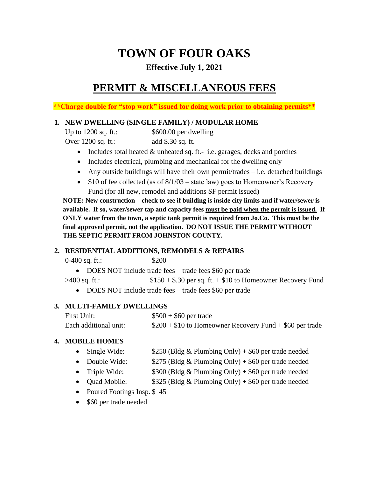# **TOWN OF FOUR OAKS**

### **Effective July 1, 2021**

## **PERMIT & MISCELLANEOUS FEES**

**\*\*Charge double for "stop work" issued for doing work prior to obtaining permits\*\***

### **1. NEW DWELLING (SINGLE FAMILY) / MODULAR HOME**

| Up to $1200$ sq. ft.: | \$600.00 per dwelling |
|-----------------------|-----------------------|
| Over $1200$ sq. ft.:  | add \$.30 sq. ft.     |

- Includes total heated & unheated sq. ft.- i.e. garages, decks and porches
- Includes electrical, plumbing and mechanical for the dwelling only
- Any outside buildings will have their own permit/trades i.e. detached buildings
- \$10 of fee collected (as of  $8/1/03$  state law) goes to Homeowner's Recovery Fund (for all new, remodel and additions SF permit issued)

**NOTE: New construction – check to see if building is inside city limits and if water/sewer is available. If so, water/sewer tap and capacity fees must be paid when the permit is issued. If ONLY water from the town, a septic tank permit is required from Jo.Co. This must be the final approved permit, not the application. DO NOT ISSUE THE PERMIT WITHOUT THE SEPTIC PERMIT FROM JOHNSTON COUNTY.**

### **2. RESIDENTIAL ADDITIONS, REMODELS & REPAIRS**

0-400 sq. ft.: \$200

• DOES NOT include trade fees – trade fees \$60 per trade

 $>400$  sq. ft.:  $$150 + $.30$  per sq. ft. + \$10 to Homeowner Recovery Fund

• DOES NOT include trade fees – trade fees \$60 per trade

### **3. MULTI-FAMILY DWELLINGS**

| First Unit:           | $$500 + $60$ per trade                                    |
|-----------------------|-----------------------------------------------------------|
| Each additional unit: | $$200 + $10$ to Homeowner Recovery Fund $+ $60$ per trade |

### **4. MOBILE HOMES**

- Single Wide:  $$250$  (Bldg & Plumbing Only) + \$60 per trade needed
- Double Wide:  $$275$  (Bldg & Plumbing Only) + \$60 per trade needed
- Triple Wide:  $$300$  (Bldg & Plumbing Only) + \$60 per trade needed
- Quad Mobile: \$325 (Bldg & Plumbing Only) + \$60 per trade needed
- Poured Footings Insp. \$45
- \$60 per trade needed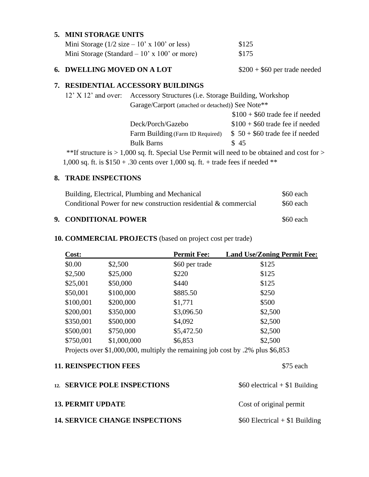### **5. MINI STORAGE UNITS**

| Mini Storage $(1/2 \text{ size} - 10' \text{ x } 100' \text{ or less})$ | \$125 |
|-------------------------------------------------------------------------|-------|
| Mini Storage (Standard $-10'$ x 100' or more)                           | \$175 |

### **6. DWELLING MOVED ON A LOT** \$200 + \$60 per trade needed

#### **7. RESIDENTIAL ACCESSORY BUILDINGS**

|                                                                                                  | 12' X 12' and over: Accessory Structures (i.e. Storage Building, Workshop |                                  |  |
|--------------------------------------------------------------------------------------------------|---------------------------------------------------------------------------|----------------------------------|--|
|                                                                                                  | Garage/Carport (attached or detached)) See Note**                         |                                  |  |
|                                                                                                  |                                                                           | $$100 + $60$ trade fee if needed |  |
|                                                                                                  | Deck/Porch/Gazebo                                                         | $$100 + $60$ trade fee if needed |  |
|                                                                                                  | Farm Building (Farm ID Required)                                          | $$50 + $60$ trade fee if needed  |  |
|                                                                                                  | <b>Bulk Barns</b>                                                         | \$45                             |  |
| **If structure is $> 1,000$ sq. ft. Special Use Permit will need to be obtained and cost for $>$ |                                                                           |                                  |  |

1,000 sq. ft. is \$150 + .30 cents over 1,000 sq. ft. + trade fees if needed \*\*

### **8. TRADE INSPECTIONS**

| 9. CONDITIONAL POWER                                            | \$60 each |
|-----------------------------------------------------------------|-----------|
| Conditional Power for new construction residential & commercial | \$60 each |
| Building, Electrical, Plumbing and Mechanical                   | \$60 each |

### **10. COMMERCIAL PROJECTS** (based on project cost per trade)

| Cost:                                                                          |             | <b>Permit Fee:</b> | <b>Land Use/Zoning Permit Fee:</b> |
|--------------------------------------------------------------------------------|-------------|--------------------|------------------------------------|
| \$0.00                                                                         | \$2,500     | \$60 per trade     | \$125                              |
| \$2,500                                                                        | \$25,000    | \$220              | \$125                              |
| \$25,001                                                                       | \$50,000    | \$440              | \$125                              |
| \$50,001                                                                       | \$100,000   | \$885.50           | \$250                              |
| \$100,001                                                                      | \$200,000   | \$1,771            | \$500                              |
| \$200,001                                                                      | \$350,000   | \$3,096.50         | \$2,500                            |
| \$350,001                                                                      | \$500,000   | \$4,092            | \$2,500                            |
| \$500,001                                                                      | \$750,000   | \$5,472.50         | \$2,500                            |
| \$750,001                                                                      | \$1,000,000 | \$6,853            | \$2,500                            |
| Projects over \$1,000,000, multiply the remaining job cost by .2% plus \$6,853 |             |                    |                                    |

| <b>11. REINSPECTION FEES</b>          | \$75 each                       |
|---------------------------------------|---------------------------------|
| 12. SERVICE POLE INSPECTIONS          | $$60$ electrical + \$1 Building |
| <b>13. PERMIT UPDATE</b>              | Cost of original permit         |
| <b>14. SERVICE CHANGE INSPECTIONS</b> | $$60$ Electrical + \$1 Building |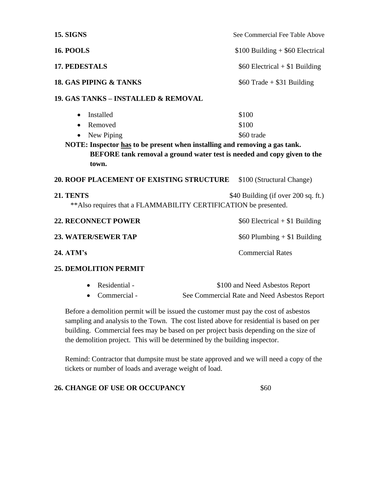| <b>15. SIGNS</b>                                                                                                                    | See Commercial Fee Table Above      |
|-------------------------------------------------------------------------------------------------------------------------------------|-------------------------------------|
| <b>16. POOLS</b>                                                                                                                    | $$100$ Building $+$ \$60 Electrical |
| 17. PEDESTALS                                                                                                                       | $$60$ Electrical + \$1 Building     |
| <b>18. GAS PIPING &amp; TANKS</b>                                                                                                   | $$60$ Trade + \$31 Building         |
| <b>19. GAS TANKS - INSTALLED &amp; REMOVAL</b>                                                                                      |                                     |
| Installed<br>$\bullet$                                                                                                              | \$100                               |
| Removed<br>$\bullet$                                                                                                                | \$100                               |
| New Piping                                                                                                                          | \$60 trade                          |
| BEFORE tank removal a ground water test is needed and copy given to the<br>town.<br><b>20. ROOF PLACEMENT OF EXISTING STRUCTURE</b> | \$100 (Structural Change)           |
| 21. TENTS<br>** Also requires that a FLAMMABILITY CERTIFICATION be presented.                                                       | \$40 Building (if over 200 sq. ft.) |
| <b>22. RECONNECT POWER</b>                                                                                                          | $$60$ Electrical + \$1 Building     |
| <b>23. WATER/SEWER TAP</b>                                                                                                          | $$60$ Plumbing $+ $1$ Building      |
| 24. ATM's                                                                                                                           | <b>Commercial Rates</b>             |
| <b>25. DEMOLITION PERMIT</b>                                                                                                        |                                     |

| • Residential - | \$100 and Need Asbestos Report               |
|-----------------|----------------------------------------------|
| • Commercial -  | See Commercial Rate and Need Asbestos Report |

Before a demolition permit will be issued the customer must pay the cost of asbestos sampling and analysis to the Town. The cost listed above for residential is based on per building. Commercial fees may be based on per project basis depending on the size of the demolition project. This will be determined by the building inspector.

Remind: Contractor that dumpsite must be state approved and we will need a copy of the tickets or number of loads and average weight of load.

**26. CHANGE OF USE OR OCCUPANCY** \$60